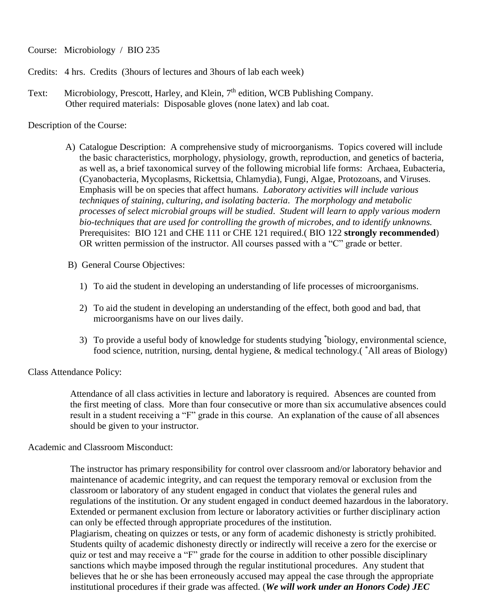Course: Microbiology / BIO 235

- Credits: 4 hrs. Credits (3hours of lectures and 3hours of lab each week)
- Text: Microbiology, Prescott, Harley, and Klein, 7<sup>th</sup> edition, WCB Publishing Company. Other required materials: Disposable gloves (none latex) and lab coat.

Description of the Course:

- A) Catalogue Description: A comprehensive study of microorganisms. Topics covered will include the basic characteristics, morphology, physiology, growth, reproduction, and genetics of bacteria, as well as, a brief taxonomical survey of the following microbial life forms: Archaea, Eubacteria, (Cyanobacteria, Mycoplasms, Rickettsia, Chlamydia), Fungi, Algae, Protozoans, and Viruses. Emphasis will be on species that affect humans. *Laboratory activities will include various techniques of staining*, *culturing*, *and isolating bacteria*. *The morphology and metabolic processes of select microbial groups will be studied*. *Student will learn to apply various modern bio-techniques that are used for controlling the growth of microbes, and to identify unknowns.* Prerequisites: BIO 121 and CHE 111 or CHE 121 required.( BIO 122 **strongly recommended**) OR written permission of the instructor. All courses passed with a "C" grade or better.
- B) General Course Objectives:
	- 1) To aid the student in developing an understanding of life processes of microorganisms.
	- 2) To aid the student in developing an understanding of the effect, both good and bad, that microorganisms have on our lives daily.
	- 3) To provide a useful body of knowledge for students studying \* biology, environmental science, food science, nutrition, nursing, dental hygiene, & medical technology.( \*All areas of Biology)

Class Attendance Policy:

 Attendance of all class activities in lecture and laboratory is required. Absences are counted from the first meeting of class. More than four consecutive or more than six accumulative absences could result in a student receiving a "F" grade in this course. An explanation of the cause of all absences should be given to your instructor.

Academic and Classroom Misconduct:

 The instructor has primary responsibility for control over classroom and/or laboratory behavior and maintenance of academic integrity, and can request the temporary removal or exclusion from the classroom or laboratory of any student engaged in conduct that violates the general rules and regulations of the institution. Or any student engaged in conduct deemed hazardous in the laboratory. Extended or permanent exclusion from lecture or laboratory activities or further disciplinary action can only be effected through appropriate procedures of the institution.

 Plagiarism, cheating on quizzes or tests, or any form of academic dishonesty is strictly prohibited. Students quilty of academic dishonesty directly or indirectly will receive a zero for the exercise or quiz or test and may receive a "F" grade for the course in addition to other possible disciplinary sanctions which maybe imposed through the regular institutional procedures. Any student that believes that he or she has been erroneously accused may appeal the case through the appropriate institutional procedures if their grade was affected. (*We will work under an Honors Code) JEC*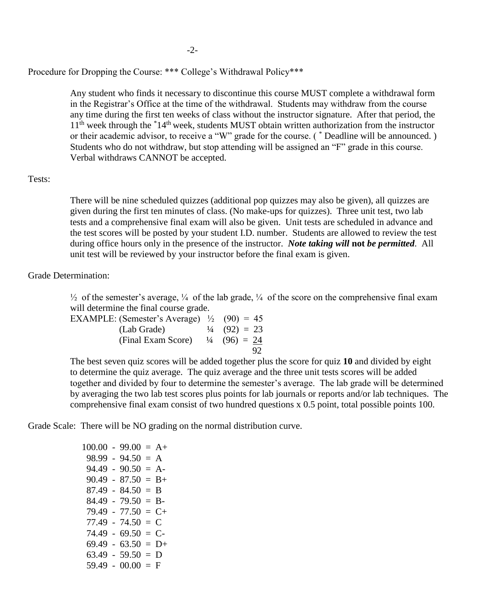#### Procedure for Dropping the Course: \*\*\* College's Withdrawal Policy\*\*\*

 Any student who finds it necessary to discontinue this course MUST complete a withdrawal form in the Registrar's Office at the time of the withdrawal. Students may withdraw from the course any time during the first ten weeks of class without the instructor signature. After that period, the  $11<sup>th</sup>$  week through the  $*14<sup>th</sup>$  week, students MUST obtain written authorization from the instructor or their academic advisor, to receive a "W" grade for the course. ( \* Deadline will be announced. ) Students who do not withdraw, but stop attending will be assigned an "F" grade in this course. Verbal withdraws CANNOT be accepted.

#### Tests:

 There will be nine scheduled quizzes (additional pop quizzes may also be given), all quizzes are given during the first ten minutes of class. (No make-ups for quizzes). Three unit test, two lab tests and a comprehensive final exam will also be given. Unit tests are scheduled in advance and the test scores will be posted by your student I.D. number. Students are allowed to review the test during office hours only in the presence of the instructor. *Note taking will* **not** *be permitted*. All unit test will be reviewed by your instructor before the final exam is given.

Grade Determination:

 $\frac{1}{2}$  of the semester's average,  $\frac{1}{4}$  of the lab grade,  $\frac{1}{4}$  of the score on the comprehensive final exam will determine the final course grade.

| EXAMPLE: (Semester's Average) $\frac{1}{2}$ (90) = 45  |                         |
|--------------------------------------------------------|-------------------------|
| (Lab Grade)                                            | $\frac{1}{4}$ (92) = 23 |
| (Final Exam Score) $\frac{1}{4}$ (96) = $\frac{24}{5}$ |                         |
|                                                        | 92                      |

 The best seven quiz scores will be added together plus the score for quiz **10** and divided by eight to determine the quiz average. The quiz average and the three unit tests scores will be added together and divided by four to determine the semester's average. The lab grade will be determined by averaging the two lab test scores plus points for lab journals or reports and/or lab techniques. The comprehensive final exam consist of two hundred questions x 0.5 point, total possible points 100.

Grade Scale: There will be NO grading on the normal distribution curve.

|  | $100.00 - 99.00 = A +$ |
|--|------------------------|
|  | $98.99 - 94.50 = A$    |
|  | $94.49 - 90.50 = A$    |
|  | $90.49 - 87.50 = B +$  |
|  | $87.49 - 84.50 = B$    |
|  | $84.49 - 79.50 = B$    |
|  | $79.49 - 77.50 = C +$  |
|  | $77.49 - 74.50 = C$    |
|  | $74.49 - 69.50 = C$    |
|  | $69.49 - 63.50 = D+$   |
|  | $63.49 - 59.50 = D$    |
|  | $59.49 - 00.00 = F$    |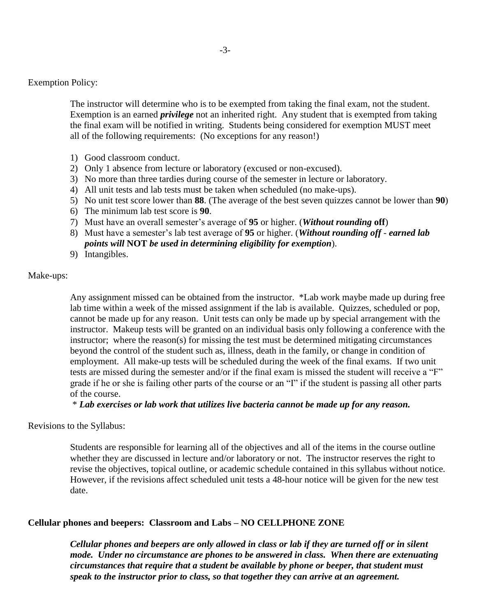Exemption Policy:

 The instructor will determine who is to be exempted from taking the final exam, not the student. Exemption is an earned *privilege* not an inherited right. Any student that is exempted from taking the final exam will be notified in writing. Students being considered for exemption MUST meet all of the following requirements: (No exceptions for any reason!)

- 1) Good classroom conduct.
- 2) Only 1 absence from lecture or laboratory (excused or non-excused).
- 3) No more than three tardies during course of the semester in lecture or laboratory.
- 4) All unit tests and lab tests must be taken when scheduled (no make-ups).
- 5) No unit test score lower than **88**. (The average of the best seven quizzes cannot be lower than **90**)
- 6) The minimum lab test score is **90**.
- 7) Must have an overall semester's average of **95** or higher. (*Without rounding* **off**)
- 8) Must have a semester's lab test average of **95** or higher. (*Without rounding off earned lab points will* **NOT** *be used in determining eligibility for exemption*).
- 9) Intangibles.

Make-ups:

 Any assignment missed can be obtained from the instructor. \*Lab work maybe made up during free lab time within a week of the missed assignment if the lab is available. Quizzes, scheduled or pop, cannot be made up for any reason. Unit tests can only be made up by special arrangement with the instructor. Makeup tests will be granted on an individual basis only following a conference with the instructor; where the reason(s) for missing the test must be determined mitigating circumstances beyond the control of the student such as, illness, death in the family, or change in condition of employment. All make-up tests will be scheduled during the week of the final exams. If two unit tests are missed during the semester and/or if the final exam is missed the student will receive a "F" grade if he or she is failing other parts of the course or an "I" if the student is passing all other parts of the course.

\* *Lab exercises or lab work that utilizes live bacteria cannot be made up for any reason.*

Revisions to the Syllabus:

 Students are responsible for learning all of the objectives and all of the items in the course outline whether they are discussed in lecture and/or laboratory or not. The instructor reserves the right to revise the objectives, topical outline, or academic schedule contained in this syllabus without notice. However, if the revisions affect scheduled unit tests a 48-hour notice will be given for the new test date.

#### **Cellular phones and beepers: Classroom and Labs – NO CELLPHONE ZONE**

*Cellular phones and beepers are only allowed in class or lab if they are turned off or in silent mode. Under no circumstance are phones to be answered in class. When there are extenuating circumstances that require that a student be available by phone or beeper, that student must speak to the instructor prior to class, so that together they can arrive at an agreement.*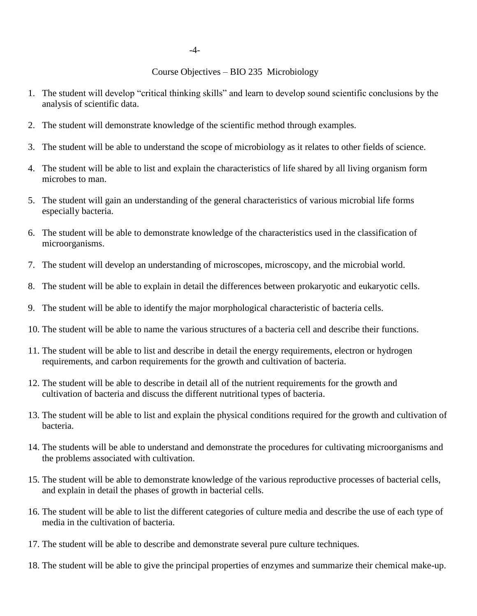## Course Objectives – BIO 235 Microbiology

- 1. The student will develop "critical thinking skills" and learn to develop sound scientific conclusions by the analysis of scientific data.
- 2. The student will demonstrate knowledge of the scientific method through examples.
- 3. The student will be able to understand the scope of microbiology as it relates to other fields of science.
- 4. The student will be able to list and explain the characteristics of life shared by all living organism form microbes to man.
- 5. The student will gain an understanding of the general characteristics of various microbial life forms especially bacteria.
- 6. The student will be able to demonstrate knowledge of the characteristics used in the classification of microorganisms.
- 7. The student will develop an understanding of microscopes, microscopy, and the microbial world.
- 8. The student will be able to explain in detail the differences between prokaryotic and eukaryotic cells.
- 9. The student will be able to identify the major morphological characteristic of bacteria cells.
- 10. The student will be able to name the various structures of a bacteria cell and describe their functions.
- 11. The student will be able to list and describe in detail the energy requirements, electron or hydrogen requirements, and carbon requirements for the growth and cultivation of bacteria.
- 12. The student will be able to describe in detail all of the nutrient requirements for the growth and cultivation of bacteria and discuss the different nutritional types of bacteria.
- 13. The student will be able to list and explain the physical conditions required for the growth and cultivation of bacteria.
- 14. The students will be able to understand and demonstrate the procedures for cultivating microorganisms and the problems associated with cultivation.
- 15. The student will be able to demonstrate knowledge of the various reproductive processes of bacterial cells, and explain in detail the phases of growth in bacterial cells.
- 16. The student will be able to list the different categories of culture media and describe the use of each type of media in the cultivation of bacteria.
- 17. The student will be able to describe and demonstrate several pure culture techniques.
- 18. The student will be able to give the principal properties of enzymes and summarize their chemical make-up.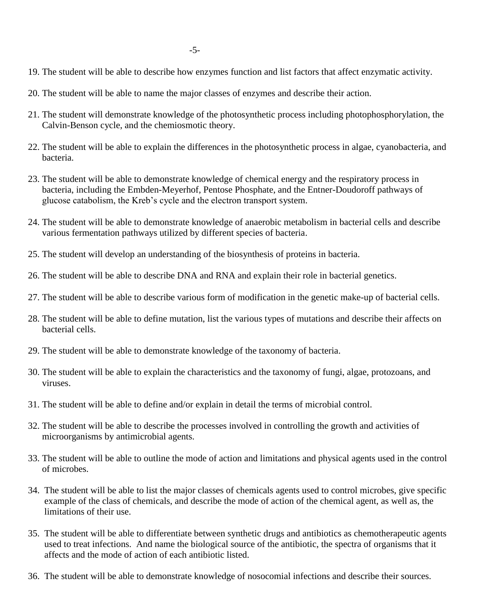- 19. The student will be able to describe how enzymes function and list factors that affect enzymatic activity.
- 20. The student will be able to name the major classes of enzymes and describe their action.
- 21. The student will demonstrate knowledge of the photosynthetic process including photophosphorylation, the Calvin-Benson cycle, and the chemiosmotic theory.
- 22. The student will be able to explain the differences in the photosynthetic process in algae, cyanobacteria, and bacteria.
- 23. The student will be able to demonstrate knowledge of chemical energy and the respiratory process in bacteria, including the Embden-Meyerhof, Pentose Phosphate, and the Entner-Doudoroff pathways of glucose catabolism, the Kreb's cycle and the electron transport system.
- 24. The student will be able to demonstrate knowledge of anaerobic metabolism in bacterial cells and describe various fermentation pathways utilized by different species of bacteria.
- 25. The student will develop an understanding of the biosynthesis of proteins in bacteria.
- 26. The student will be able to describe DNA and RNA and explain their role in bacterial genetics.
- 27. The student will be able to describe various form of modification in the genetic make-up of bacterial cells.
- 28. The student will be able to define mutation, list the various types of mutations and describe their affects on bacterial cells.
- 29. The student will be able to demonstrate knowledge of the taxonomy of bacteria.
- 30. The student will be able to explain the characteristics and the taxonomy of fungi, algae, protozoans, and viruses.
- 31. The student will be able to define and/or explain in detail the terms of microbial control.
- 32. The student will be able to describe the processes involved in controlling the growth and activities of microorganisms by antimicrobial agents.
- 33. The student will be able to outline the mode of action and limitations and physical agents used in the control of microbes.
- 34. The student will be able to list the major classes of chemicals agents used to control microbes, give specific example of the class of chemicals, and describe the mode of action of the chemical agent, as well as, the limitations of their use.
- 35. The student will be able to differentiate between synthetic drugs and antibiotics as chemotherapeutic agents used to treat infections. And name the biological source of the antibiotic, the spectra of organisms that it affects and the mode of action of each antibiotic listed.
- 36. The student will be able to demonstrate knowledge of nosocomial infections and describe their sources.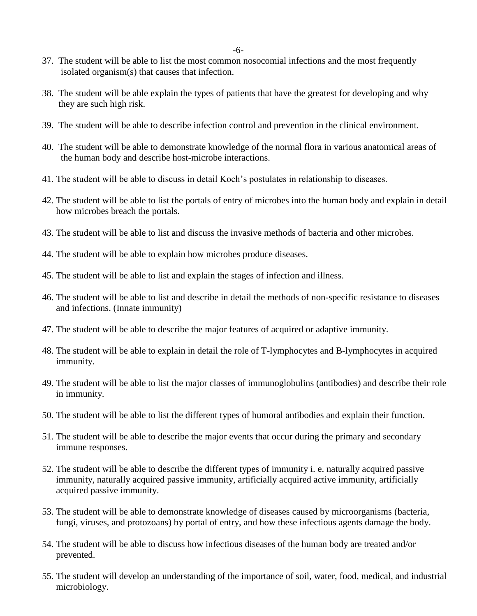-6-

- 37. The student will be able to list the most common nosocomial infections and the most frequently isolated organism(s) that causes that infection.
- 38. The student will be able explain the types of patients that have the greatest for developing and why they are such high risk.
- 39. The student will be able to describe infection control and prevention in the clinical environment.
- 40. The student will be able to demonstrate knowledge of the normal flora in various anatomical areas of the human body and describe host-microbe interactions.
- 41. The student will be able to discuss in detail Koch's postulates in relationship to diseases.
- 42. The student will be able to list the portals of entry of microbes into the human body and explain in detail how microbes breach the portals.
- 43. The student will be able to list and discuss the invasive methods of bacteria and other microbes.
- 44. The student will be able to explain how microbes produce diseases.
- 45. The student will be able to list and explain the stages of infection and illness.
- 46. The student will be able to list and describe in detail the methods of non-specific resistance to diseases and infections. (Innate immunity)
- 47. The student will be able to describe the major features of acquired or adaptive immunity.
- 48. The student will be able to explain in detail the role of T-lymphocytes and B-lymphocytes in acquired immunity.
- 49. The student will be able to list the major classes of immunoglobulins (antibodies) and describe their role in immunity.
- 50. The student will be able to list the different types of humoral antibodies and explain their function.
- 51. The student will be able to describe the major events that occur during the primary and secondary immune responses.
- 52. The student will be able to describe the different types of immunity i. e. naturally acquired passive immunity, naturally acquired passive immunity, artificially acquired active immunity, artificially acquired passive immunity.
- 53. The student will be able to demonstrate knowledge of diseases caused by microorganisms (bacteria, fungi, viruses, and protozoans) by portal of entry, and how these infectious agents damage the body.
- 54. The student will be able to discuss how infectious diseases of the human body are treated and/or prevented.
- 55. The student will develop an understanding of the importance of soil, water, food, medical, and industrial microbiology.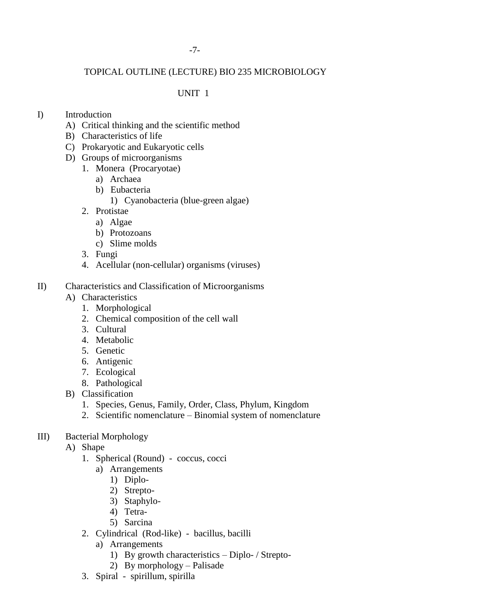# TOPICAL OUTLINE (LECTURE) BIO 235 MICROBIOLOGY

## UNIT 1

## I) Introduction

- A) Critical thinking and the scientific method
- B) Characteristics of life
- C) Prokaryotic and Eukaryotic cells
- D) Groups of microorganisms
	- 1. Monera (Procaryotae)
		- a) Archaea
		- b) Eubacteria
			- 1) Cyanobacteria (blue-green algae)
	- 2. Protistae
		- a) Algae
		- b) Protozoans
		- c) Slime molds
	- 3. Fungi
	- 4. Acellular (non-cellular) organisms (viruses)
- II) Characteristics and Classification of Microorganisms
	- A) Characteristics
		- 1. Morphological
		- 2. Chemical composition of the cell wall
		- 3. Cultural
		- 4. Metabolic
		- 5. Genetic
		- 6. Antigenic
		- 7. Ecological
		- 8. Pathological
	- B) Classification
		- 1. Species, Genus, Family, Order, Class, Phylum, Kingdom
		- 2. Scientific nomenclature Binomial system of nomenclature
- III) Bacterial Morphology
	- A) Shape
		- 1. Spherical (Round) coccus, cocci
			- a) Arrangements
				- 1) Diplo-
				- 2) Strepto-
				- 3) Staphylo-
				- 4) Tetra-
				- 5) Sarcina
		- 2. Cylindrical (Rod-like) bacillus, bacilli
			- a) Arrangements
				- 1) By growth characteristics Diplo- / Strepto-
				- 2) By morphology Palisade
		- 3. Spiral spirillum, spirilla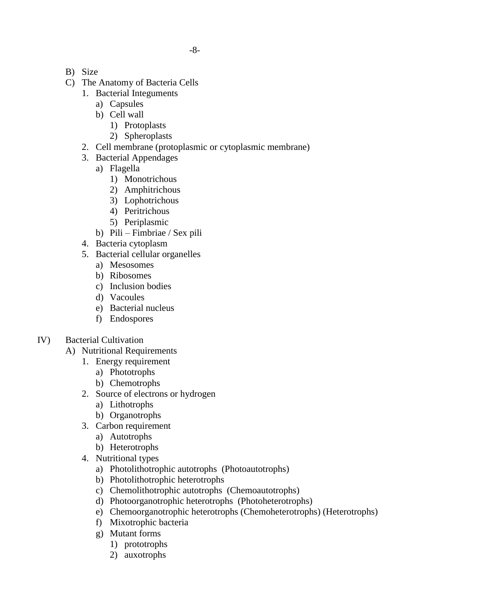- B) Size
- C) The Anatomy of Bacteria Cells
	- 1. Bacterial Integuments
		- a) Capsules
		- b) Cell wall
			- 1) Protoplasts
			- 2) Spheroplasts
	- 2. Cell membrane (protoplasmic or cytoplasmic membrane)
	- 3. Bacterial Appendages
		- a) Flagella
			- 1) Monotrichous
			- 2) Amphitrichous
			- 3) Lophotrichous
			- 4) Peritrichous
			- 5) Periplasmic
		- b) Pili Fimbriae / Sex pili
	- 4. Bacteria cytoplasm
	- 5. Bacterial cellular organelles
		- a) Mesosomes
		- b) Ribosomes
		- c) Inclusion bodies
		- d) Vacoules
		- e) Bacterial nucleus
		- f) Endospores
- IV) Bacterial Cultivation
	- A) Nutritional Requirements
		- 1. Energy requirement
			- a) Phototrophs
			- b) Chemotrophs
		- 2. Source of electrons or hydrogen
			- a) Lithotrophs
			- b) Organotrophs
		- 3. Carbon requirement
			- a) Autotrophs
			- b) Heterotrophs
		- 4. Nutritional types
			- a) Photolithotrophic autotrophs (Photoautotrophs)
			- b) Photolithotrophic heterotrophs
			- c) Chemolithotrophic autotrophs (Chemoautotrophs)
			- d) Photoorganotrophic heterotrophs (Photoheterotrophs)
			- e) Chemoorganotrophic heterotrophs (Chemoheterotrophs) (Heterotrophs)
			- f) Mixotrophic bacteria
			- g) Mutant forms
				- 1) prototrophs
				- 2) auxotrophs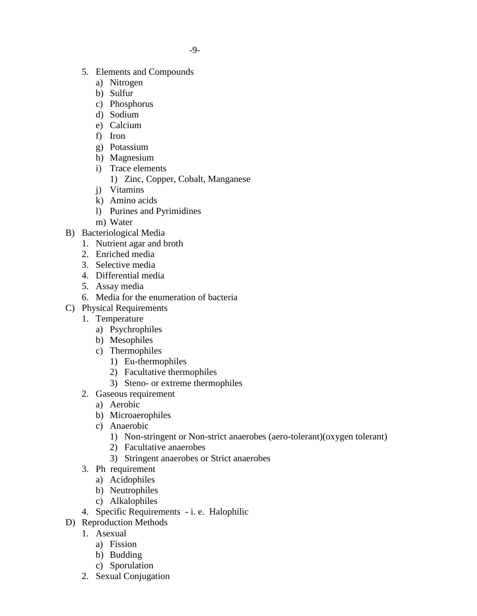- 5. Elements and Compounds
	- a) Nitrogen
	- b) Sulfur
	- c) Phosphorus
	- d) Sodium
	- e) Calcium
	- f) Iron
	- g) Potassium
	- h) Magnesium
	- i) Trace elements
		- 1) Zinc, Copper, Cobalt, Manganese
	- j) Vitamins
	- k) Amino acids
	- l) Purines and Pyrimidines
	- m) Water
- B) Bacteriological Media
	- 1. Nutrient agar and broth
	- 2. Enriched media
	- 3. Selective media
	- 4. Differential media
	- 5. Assay media
	- 6. Media for the enumeration of bacteria
- C) Physical Requirements
	- 1. Temperature
		- a) Psychrophiles
		- b) Mesophiles
		- c) Thermophiles
			- 1) Eu-thermophiles
			- 2) Facultative thermophiles
			- 3) Steno- or extreme thermophiles
	- 2. Gaseous requirement
		- a) Aerobic
		- b) Microaerophiles
		- c) Anaerobic
			- 1) Non-stringent or Non-strict anaerobes (aero-tolerant)(oxygen tolerant)
			- 2) Facultative anaerobes
			- 3) Stringent anaerobes or Strict anaerobes
	- 3. Ph requirement
		- a) Acidophiles
		- b) Neutrophiles
		- c) Alkalophiles
	- 4. Specific Requirements i. e. Halophilic
- D) Reproduction Methods
	- 1. Asexual
		- a) Fission
		- b) Budding
		- c) Sporulation
	- 2. Sexual Conjugation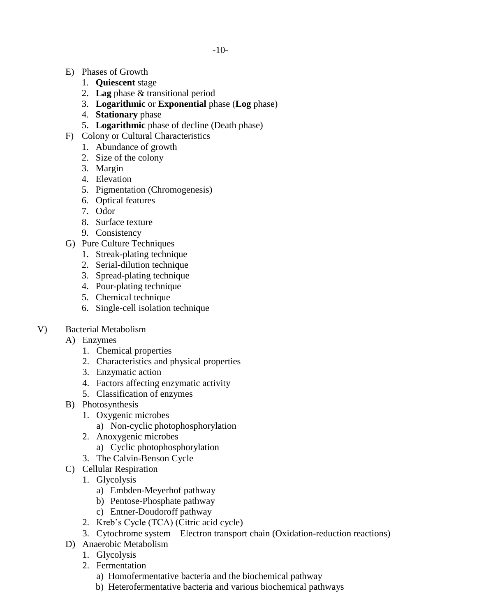- E) Phases of Growth
	- 1. **Quiescent** stage
	- 2. **Lag** phase & transitional period
	- 3. **Logarithmic** or **Exponential** phase (**Log** phase)
	- 4. **Stationary** phase
	- 5. **Logarithmic** phase of decline (Death phase)
- F) Colony or Cultural Characteristics
	- 1. Abundance of growth
	- 2. Size of the colony
	- 3. Margin
	- 4. Elevation
	- 5. Pigmentation (Chromogenesis)
	- 6. Optical features
	- 7. Odor
	- 8. Surface texture
	- 9. Consistency
- G) Pure Culture Techniques
	- 1. Streak-plating technique
	- 2. Serial-dilution technique
	- 3. Spread-plating technique
	- 4. Pour-plating technique
	- 5. Chemical technique
	- 6. Single-cell isolation technique
- V) Bacterial Metabolism
	- A) Enzymes
		- 1. Chemical properties
		- 2. Characteristics and physical properties
		- 3. Enzymatic action
		- 4. Factors affecting enzymatic activity
		- 5. Classification of enzymes
	- B) Photosynthesis
		- 1. Oxygenic microbes
			- a) Non-cyclic photophosphorylation
		- 2. Anoxygenic microbes
			- a) Cyclic photophosphorylation
		- 3. The Calvin-Benson Cycle
	- C) Cellular Respiration
		- 1. Glycolysis
			- a) Embden-Meyerhof pathway
			- b) Pentose-Phosphate pathway
			- c) Entner-Doudoroff pathway
		- 2. Kreb's Cycle (TCA) (Citric acid cycle)
		- 3. Cytochrome system Electron transport chain (Oxidation-reduction reactions)
	- D) Anaerobic Metabolism
		- 1. Glycolysis
		- 2. Fermentation
			- a) Homofermentative bacteria and the biochemical pathway
			- b) Heterofermentative bacteria and various biochemical pathways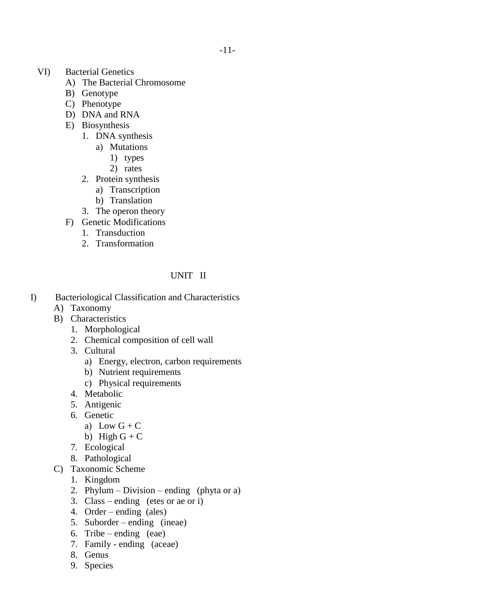- VI) Bacterial Genetics
	- A) The Bacterial Chromosome
	- B) Genotype
	- C) Phenotype
	- D) DNA and RNA
	- E) Biosynthesis
		- 1. DNA synthesis
			- a) Mutations
				- 1) types
				- 2) rates
		- 2. Protein synthesis
			- a) Transcription
			- b) Translation
		- 3. The operon theory
	- F) Genetic Modifications
		- 1. Transduction
		- 2. Transformation

# UNIT II

- I) Bacteriological Classification and Characteristics
	- A) Taxonomy
	- B) Characteristics
		- 1. Morphological
		- 2. Chemical composition of cell wall
		- 3. Cultural
			- a) Energy, electron, carbon requirements
			- b) Nutrient requirements
			- c) Physical requirements
		- 4. Metabolic
		- 5. Antigenic
		- 6. Genetic
			- a) Low  $G + C$
			- b) High  $G + C$
		- 7. Ecological
		- 8. Pathological
	- C) Taxonomic Scheme
		- 1. Kingdom
		- 2. Phylum Division ending (phyta or a)
		- 3. Class ending (etes or ae or i)
		- 4. Order ending (ales)
		- 5. Suborder ending (ineae)
		- 6. Tribe ending (eae)
		- 7. Family ending (aceae)
		- 8. Genus
		- 9. Species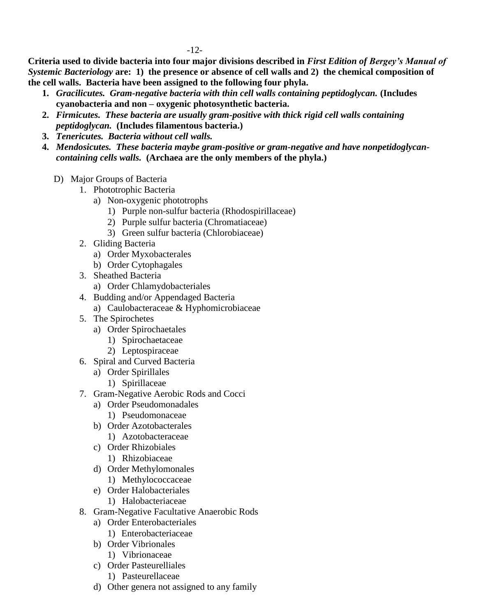**Criteria used to divide bacteria into four major divisions described in** *First Edition of Bergey's Manual of Systemic Bacteriology* **are: 1) the presence or absence of cell walls and 2) the chemical composition of the cell walls. Bacteria have been assigned to the following four phyla.**

- **1.** *Gracilicutes. Gram-negative bacteria with thin cell walls containing peptidoglycan.* **(Includes cyanobacteria and non – oxygenic photosynthetic bacteria.**
- **2.** *Firmicutes.**These bacteria are usually gram-positive with thick rigid cell walls containing peptidoglycan.* **(Includes filamentous bacteria.)**
- **3.** *Tenericutes.**Bacteria without cell walls.*
- **4.** *Mendosicutes. These bacteria maybe gram-positive or gram-negative and have nonpetidoglycancontaining cells walls.* **(Archaea are the only members of the phyla.)**
	- D) Major Groups of Bacteria
		- 1. Phototrophic Bacteria
			- a) Non-oxygenic phototrophs
				- 1) Purple non-sulfur bacteria (Rhodospirillaceae)
				- 2) Purple sulfur bacteria (Chromatiaceae)
				- 3) Green sulfur bacteria (Chlorobiaceae)
		- 2. Gliding Bacteria
			- a) Order Myxobacterales
			- b) Order Cytophagales
		- 3. Sheathed Bacteria
			- a) Order Chlamydobacteriales
		- 4. Budding and/or Appendaged Bacteria
			- a) Caulobacteraceae & Hyphomicrobiaceae
		- 5. The Spirochetes
			- a) Order Spirochaetales
				- 1) Spirochaetaceae
				- 2) Leptospiraceae
		- 6. Spiral and Curved Bacteria
			- a) Order Spirillales
				- 1) Spirillaceae
		- 7. Gram-Negative Aerobic Rods and Cocci
			- a) Order Pseudomonadales
				- 1) Pseudomonaceae
			- b) Order Azotobacterales
				- 1) Azotobacteraceae
			- c) Order Rhizobiales
				- 1) Rhizobiaceae
			- d) Order Methylomonales
				- 1) Methylococcaceae
			- e) Order Halobacteriales
				- 1) Halobacteriaceae
		- 8. Gram-Negative Facultative Anaerobic Rods
			- a) Order Enterobacteriales
				- 1) Enterobacteriaceae
			- b) Order Vibrionales
				- 1) Vibrionaceae
			- c) Order Pasteurelliales
				- 1) Pasteurellaceae
			- d) Other genera not assigned to any family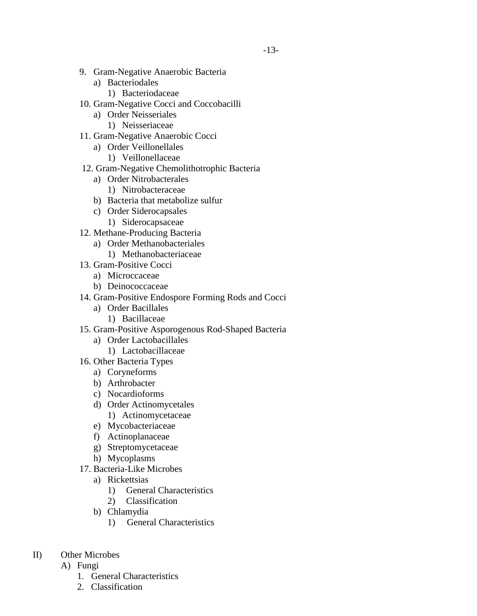- 9. Gram-Negative Anaerobic Bacteria
	- a) Bacteriodales
		- 1) Bacteriodaceae
- 10. Gram-Negative Cocci and Coccobacilli
	- a) Order Neisseriales
		- 1) Neisseriaceae
- 11. Gram-Negative Anaerobic Cocci
	- a) Order Veillonellales
		- 1) Veillonellaceae
- 12. Gram-Negative Chemolithotrophic Bacteria
	- a) Order Nitrobacterales
		- 1) Nitrobacteraceae
	- b) Bacteria that metabolize sulfur
	- c) Order Siderocapsales
		- 1) Siderocapsaceae
- 12. Methane-Producing Bacteria
	- a) Order Methanobacteriales
	- 1) Methanobacteriaceae
- 13. Gram-Positive Cocci
	- a) Microccaceae
	- b) Deinococcaceae
- 14. Gram-Positive Endospore Forming Rods and Cocci
	- a) Order Bacillales
		- 1) Bacillaceae
- 15. Gram-Positive Asporogenous Rod-Shaped Bacteria
	- a) Order Lactobacillales
		- 1) Lactobacillaceae
- 16. Other Bacteria Types
	- a) Coryneforms
	- b) Arthrobacter
	- c) Nocardioforms
	- d) Order Actinomycetales
		- 1) Actinomycetaceae
	- e) Mycobacteriaceae
	- f) Actinoplanaceae
	- g) Streptomycetaceae
	- h) Mycoplasms
- 17. Bacteria-Like Microbes
	- a) Rickettsias
		- 1) General Characteristics
		- 2) Classification
	- b) Chlamydia
		- 1) General Characteristics
- II) Other Microbes
	- A) Fungi
		- 1. General Characteristics
		- 2. Classification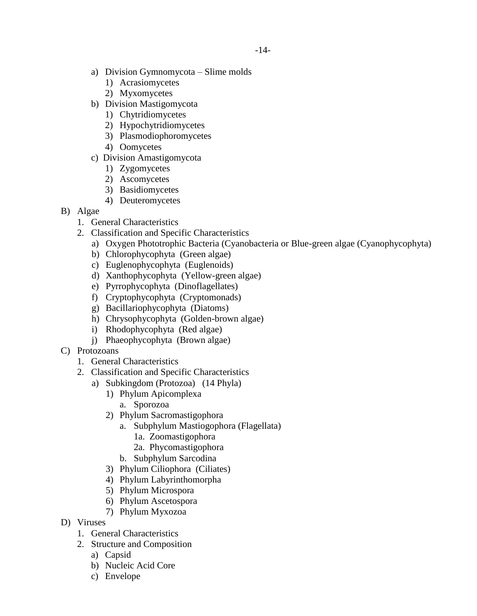- a) Division Gymnomycota Slime molds
	- 1) Acrasiomycetes
	- 2) Myxomycetes
- b) Division Mastigomycota
	- 1) Chytridiomycetes
	- 2) Hypochytridiomycetes
	- 3) Plasmodiophoromycetes
	- 4) Oomycetes
- c) Division Amastigomycota
	- 1) Zygomycetes
	- 2) Ascomycetes
	- 3) Basidiomycetes
	- 4) Deuteromycetes
- B) Algae
	- 1. General Characteristics
	- 2. Classification and Specific Characteristics
		- a) Oxygen Phototrophic Bacteria (Cyanobacteria or Blue-green algae (Cyanophycophyta)
		- b) Chlorophycophyta (Green algae)
		- c) Euglenophycophyta (Euglenoids)
		- d) Xanthophycophyta (Yellow-green algae)
		- e) Pyrrophycophyta (Dinoflagellates)
		- f) Cryptophycophyta (Cryptomonads)
		- g) Bacillariophycophyta (Diatoms)
		- h) Chrysophycophyta (Golden-brown algae)
		- i) Rhodophycophyta (Red algae)
		- j) Phaeophycophyta (Brown algae)
- C) Protozoans
	- 1. General Characteristics
	- 2. Classification and Specific Characteristics
		- a) Subkingdom (Protozoa) (14 Phyla)
			- 1) Phylum Apicomplexa
				- a. Sporozoa
				- 2) Phylum Sacromastigophora
					- a. Subphylum Mastiogophora (Flagellata)
						- 1a. Zoomastigophora
						- 2a. Phycomastigophora
					- b. Subphylum Sarcodina
			- 3) Phylum Ciliophora (Ciliates)
			- 4) Phylum Labyrinthomorpha
			- 5) Phylum Microspora
			- 6) Phylum Ascetospora
			- 7) Phylum Myxozoa
- D) Viruses
	- 1. General Characteristics
	- 2. Structure and Composition
		- a) Capsid
		- b) Nucleic Acid Core
		- c) Envelope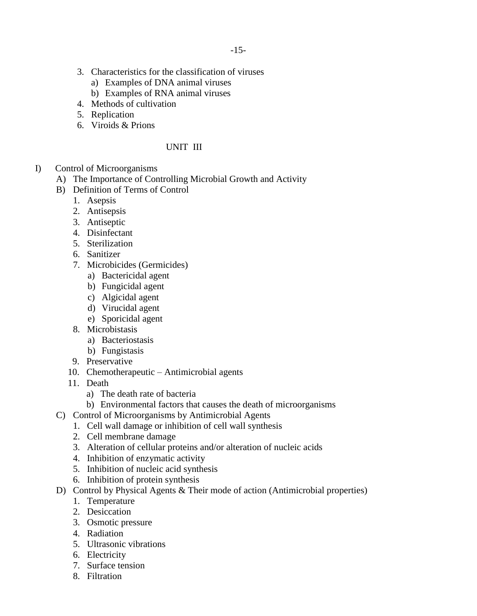- 3. Characteristics for the classification of viruses
	- a) Examples of DNA animal viruses
	- b) Examples of RNA animal viruses
- 4. Methods of cultivation
- 5. Replication
- 6. Viroids & Prions

# UNIT III

- I) Control of Microorganisms
	- A) The Importance of Controlling Microbial Growth and Activity
	- B) Definition of Terms of Control
		- 1. Asepsis
		- 2. Antisepsis
		- 3. Antiseptic
		- 4. Disinfectant
		- 5. Sterilization
		- 6. Sanitizer
		- 7. Microbicides (Germicides)
			- a) Bactericidal agent
			- b) Fungicidal agent
			- c) Algicidal agent
			- d) Virucidal agent
			- e) Sporicidal agent
		- 8. Microbistasis
			- a) Bacteriostasis
			- b) Fungistasis
		- 9. Preservative
		- 10. Chemotherapeutic Antimicrobial agents
		- 11. Death
			- a) The death rate of bacteria
			- b) Environmental factors that causes the death of microorganisms
	- C) Control of Microorganisms by Antimicrobial Agents
		- 1. Cell wall damage or inhibition of cell wall synthesis
		- 2. Cell membrane damage
		- 3. Alteration of cellular proteins and/or alteration of nucleic acids
		- 4. Inhibition of enzymatic activity
		- 5. Inhibition of nucleic acid synthesis
		- 6. Inhibition of protein synthesis
	- D) Control by Physical Agents & Their mode of action (Antimicrobial properties)
		- 1. Temperature
		- 2. Desiccation
		- 3. Osmotic pressure
		- 4. Radiation
		- 5. Ultrasonic vibrations
		- 6. Electricity
		- 7. Surface tension
		- 8. Filtration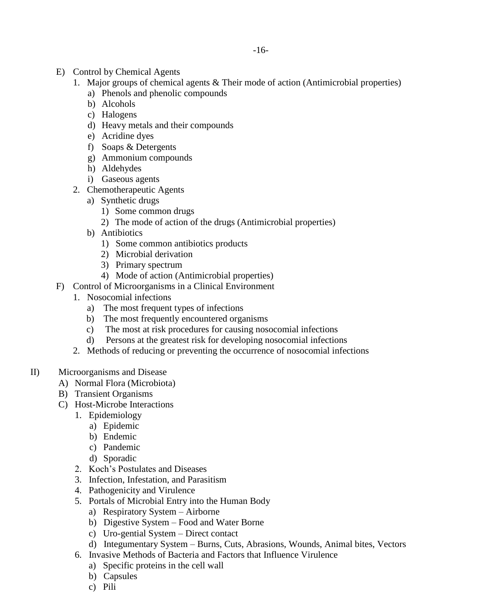- E) Control by Chemical Agents
	- 1. Major groups of chemical agents & Their mode of action (Antimicrobial properties)
		- a) Phenols and phenolic compounds
		- b) Alcohols
		- c) Halogens
		- d) Heavy metals and their compounds
		- e) Acridine dyes
		- f) Soaps & Detergents
		- g) Ammonium compounds
		- h) Aldehydes
		- i) Gaseous agents
	- 2. Chemotherapeutic Agents
		- a) Synthetic drugs
			- 1) Some common drugs
			- 2) The mode of action of the drugs (Antimicrobial properties)
		- b) Antibiotics
			- 1) Some common antibiotics products
			- 2) Microbial derivation
			- 3) Primary spectrum
			- 4) Mode of action (Antimicrobial properties)
- F) Control of Microorganisms in a Clinical Environment
	- 1. Nosocomial infections
		- a) The most frequent types of infections
		- b) The most frequently encountered organisms
		- c) The most at risk procedures for causing nosocomial infections
		- d) Persons at the greatest risk for developing nosocomial infections
	- 2. Methods of reducing or preventing the occurrence of nosocomial infections
- II) Microorganisms and Disease
	- A) Normal Flora (Microbiota)
	- B) Transient Organisms
	- C) Host-Microbe Interactions
		- 1. Epidemiology
			- a) Epidemic
			- b) Endemic
			- c) Pandemic
			- d) Sporadic
		- 2. Koch's Postulates and Diseases
		- 3. Infection, Infestation, and Parasitism
		- 4. Pathogenicity and Virulence
		- 5. Portals of Microbial Entry into the Human Body
			- a) Respiratory System Airborne
			- b) Digestive System Food and Water Borne
			- c) Uro-gential System Direct contact
			- d) Integumentary System Burns, Cuts, Abrasions, Wounds, Animal bites, Vectors
		- 6. Invasive Methods of Bacteria and Factors that Influence Virulence
			- a) Specific proteins in the cell wall
			- b) Capsules
			- c) Pili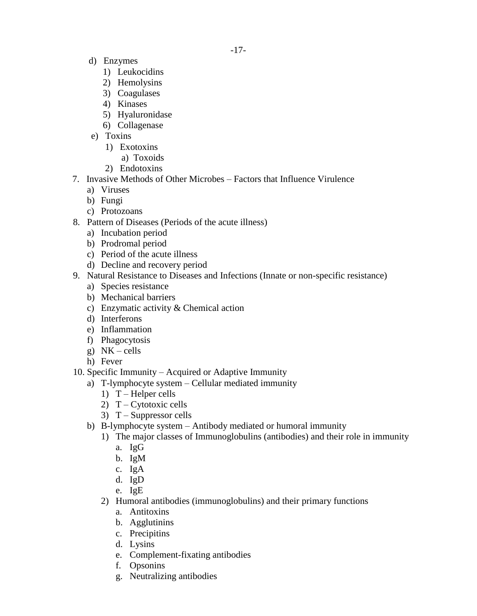- d) Enzymes
	- 1) Leukocidins
	- 2) Hemolysins
	- 3) Coagulases
	- 4) Kinases
	- 5) Hyaluronidase
	- 6) Collagenase
- e) Toxins
	- 1) Exotoxins
		- a) Toxoids
	- 2) Endotoxins
- 7. Invasive Methods of Other Microbes Factors that Influence Virulence
	- a) Viruses
	- b) Fungi
	- c) Protozoans
- 8. Pattern of Diseases (Periods of the acute illness)
	- a) Incubation period
	- b) Prodromal period
	- c) Period of the acute illness
	- d) Decline and recovery period
- 9. Natural Resistance to Diseases and Infections (Innate or non-specific resistance)
	- a) Species resistance
	- b) Mechanical barriers
	- c) Enzymatic activity & Chemical action
	- d) Interferons
	- e) Inflammation
	- f) Phagocytosis
	- g) NK cells
	- h) Fever
- 10. Specific Immunity Acquired or Adaptive Immunity
	- a) T-lymphocyte system Cellular mediated immunity
		- 1) T Helper cells
		- 2)  $T Cytotoxic cells$
		- 3)  $T -$ Suppressor cells
	- b) B-lymphocyte system Antibody mediated or humoral immunity
		- 1) The major classes of Immunoglobulins (antibodies) and their role in immunity
			- a. IgG
			- b. IgM
			- c. IgA
			- d. IgD
			- e. IgE
		- 2) Humoral antibodies (immunoglobulins) and their primary functions
			- a. Antitoxins
			- b. Agglutinins
			- c. Precipitins
			- d. Lysins
			- e. Complement-fixating antibodies
			- f. Opsonins
			- g. Neutralizing antibodies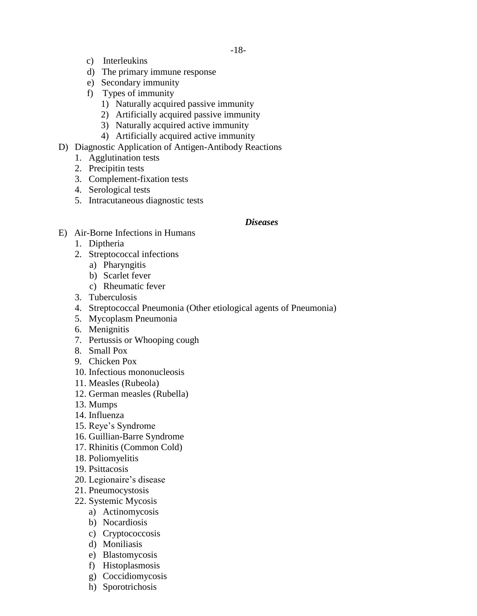- c) Interleukins
- d) The primary immune response
- e) Secondary immunity
- f) Types of immunity
	- 1) Naturally acquired passive immunity
	- 2) Artificially acquired passive immunity
	- 3) Naturally acquired active immunity
	- 4) Artificially acquired active immunity
- D) Diagnostic Application of Antigen-Antibody Reactions
	- 1. Agglutination tests
	- 2. Precipitin tests
	- 3. Complement-fixation tests
	- 4. Serological tests
	- 5. Intracutaneous diagnostic tests

#### *Diseases*

- E) Air-Borne Infections in Humans
	- 1. Diptheria
	- 2. Streptococcal infections
		- a) Pharyngitis
		- b) Scarlet fever
		- c) Rheumatic fever
	- 3. Tuberculosis
	- 4. Streptococcal Pneumonia (Other etiological agents of Pneumonia)
	- 5. Mycoplasm Pneumonia
	- 6. Menignitis
	- 7. Pertussis or Whooping cough
	- 8. Small Pox
	- 9. Chicken Pox
	- 10. Infectious mononucleosis
	- 11. Measles (Rubeola)
	- 12. German measles (Rubella)
	- 13. Mumps
	- 14. Influenza
	- 15. Reye's Syndrome
	- 16. Guillian-Barre Syndrome
	- 17. Rhinitis (Common Cold)
	- 18. Poliomyelitis
	- 19. Psittacosis
	- 20. Legionaire's disease
	- 21. Pneumocystosis
	- 22. Systemic Mycosis
		- a) Actinomycosis
		- b) Nocardiosis
		- c) Cryptococcosis
		- d) Moniliasis
		- e) Blastomycosis
		- f) Histoplasmosis
		- g) Coccidiomycosis
		- h) Sporotrichosis